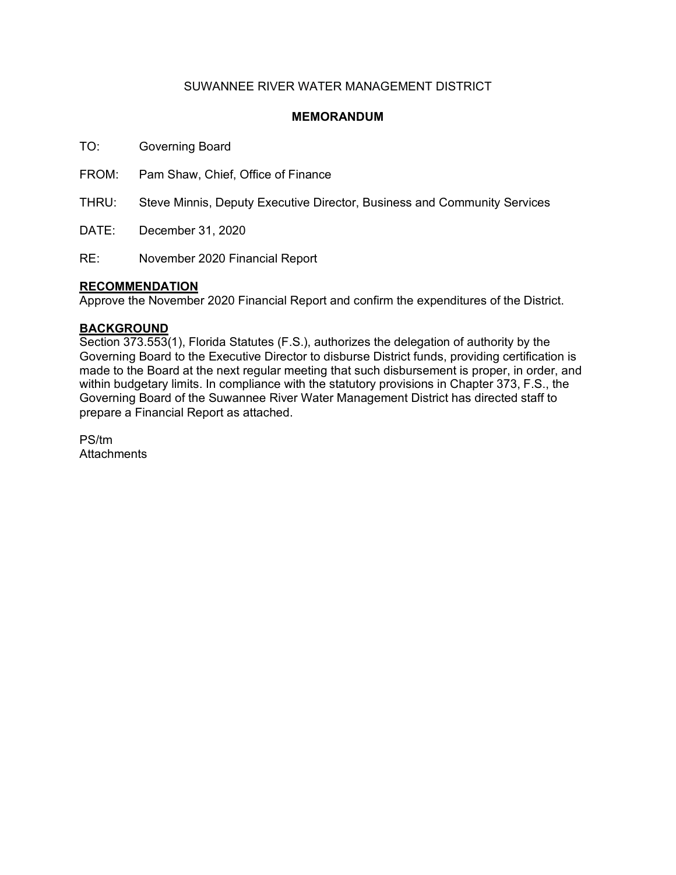## SUWANNEE RIVER WATER MANAGEMENT DISTRICT

### **MEMORANDUM**

TO: Governing Board

FROM: Pam Shaw, Chief, Office of Finance

THRU: Steve Minnis, Deputy Executive Director, Business and Community Services

DATE: December 31, 2020

RE: November 2020 Financial Report

#### **RECOMMENDATION**

Approve the November 2020 Financial Report and confirm the expenditures of the District.

#### **BACKGROUND**

Section 373.553(1), Florida Statutes (F.S.), authorizes the delegation of authority by the Governing Board to the Executive Director to disburse District funds, providing certification is made to the Board at the next regular meeting that such disbursement is proper, in order, and within budgetary limits. In compliance with the statutory provisions in Chapter 373, F.S., the Governing Board of the Suwannee River Water Management District has directed staff to prepare a Financial Report as attached.

PS/tm **Attachments**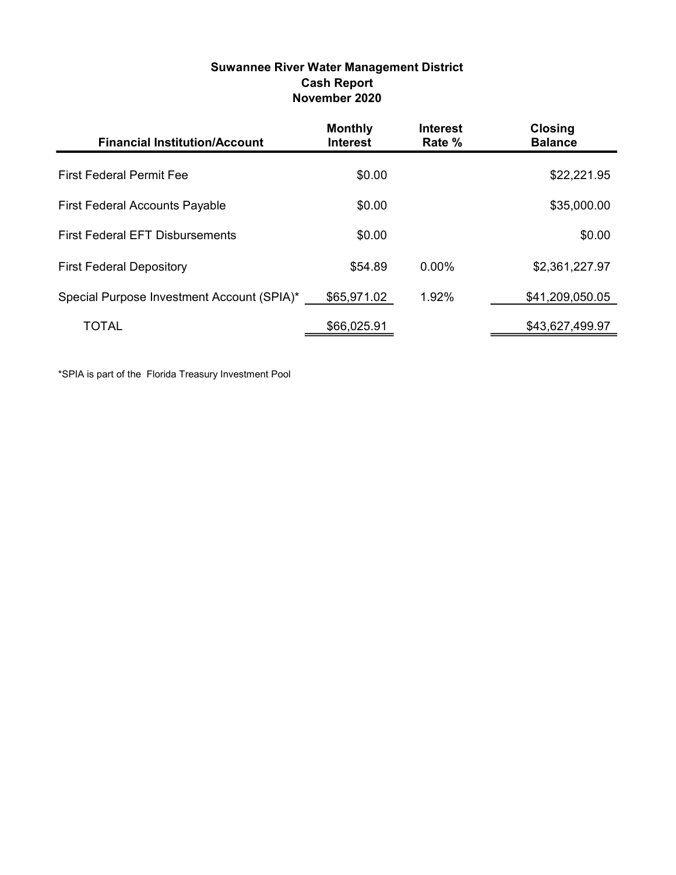### Suwannee River Water Management District Cash Report November 2020

| <b>Financial Institution/Account</b>       | <b>Monthly</b><br><b>Interest</b> | <b>Interest</b><br>Rate % | <b>Closing</b><br><b>Balance</b> |
|--------------------------------------------|-----------------------------------|---------------------------|----------------------------------|
| <b>First Federal Permit Fee</b>            | \$0.00                            |                           | \$22,221.95                      |
| <b>First Federal Accounts Payable</b>      | \$0.00                            |                           | \$35,000.00                      |
| <b>First Federal EFT Disbursements</b>     | \$0.00                            |                           | \$0.00                           |
| <b>First Federal Depository</b>            | \$54.89                           | 0.00%                     | \$2,361,227.97                   |
| Special Purpose Investment Account (SPIA)* | \$65,971.02                       | 1.92%                     | \$41,209,050.05                  |
| TOTAL                                      | \$66,025.91                       |                           | \$43,627,499.97                  |

\*SPIA is part of the Florida Treasury Investment Pool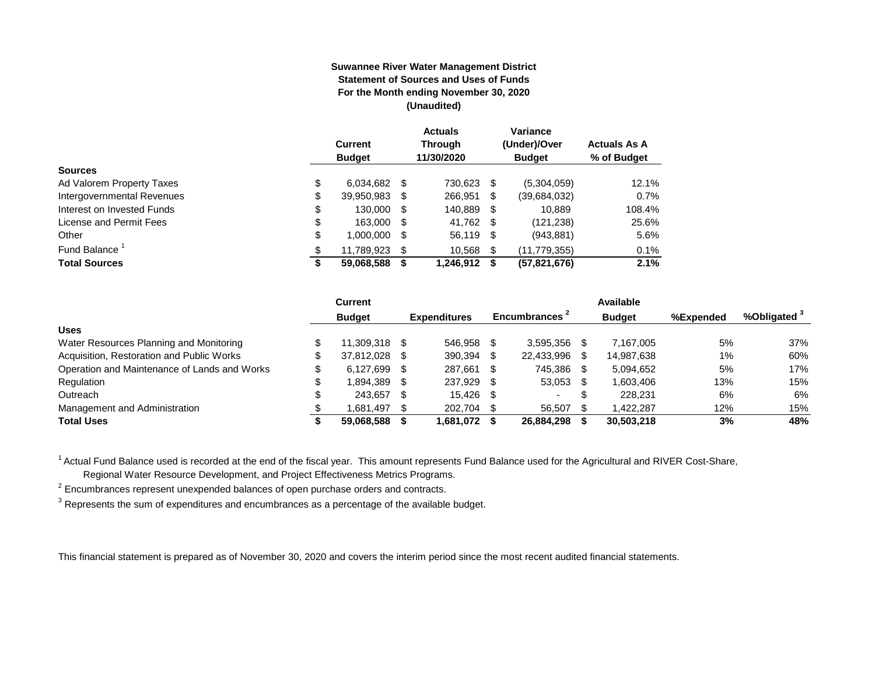#### **Suwannee River Water Management District Statement of Sources and Uses of Funds For the Month ending November 30, 2020 (Unaudited)**

|                                  | <b>Current</b><br><b>Budget</b> |      | <b>Actuals</b><br><b>Through</b><br>11/30/2020 |    | Variance<br>(Under)/Over<br><b>Budget</b> | <b>Actuals As A</b><br>% of Budget |
|----------------------------------|---------------------------------|------|------------------------------------------------|----|-------------------------------------------|------------------------------------|
| <b>Sources</b>                   |                                 |      |                                                |    |                                           |                                    |
| \$<br>Ad Valorem Property Taxes  | 6,034,682                       | \$.  | 730,623                                        | S  | (5,304,059)                               | 12.1%                              |
| \$<br>Intergovernmental Revenues | 39,950,983                      | S    | 266,951                                        | \$ | (39,684,032)                              | 0.7%                               |
| \$<br>Interest on Invested Funds | 130.000                         | - \$ | 140.889                                        | \$ | 10.889                                    | 108.4%                             |
| \$<br>License and Permit Fees    | 163,000                         | - \$ | 41,762 \$                                      |    | (121, 238)                                | 25.6%                              |
| \$<br>Other                      | 1,000,000                       | \$.  | 56,119 \$                                      |    | (943, 881)                                | 5.6%                               |
| Fund Balance <sup>1</sup><br>\$  | 11.789.923                      | S    | 10.568                                         | \$ | (11, 779, 355)                            | 0.1%                               |
| <b>Total Sources</b><br>จ        | 59,068,588                      |      | 1,246,912                                      | S  | (57, 821, 676)                            | 2.1%                               |

|                                              | Current          |      |                     |      |                          |     | Available     |           |                         |
|----------------------------------------------|------------------|------|---------------------|------|--------------------------|-----|---------------|-----------|-------------------------|
|                                              | <b>Budget</b>    |      | <b>Expenditures</b> |      | Encumbrances -           |     | <b>Budget</b> | %Expended | %Obligated <sup>3</sup> |
| <b>Uses</b>                                  |                  |      |                     |      |                          |     |               |           |                         |
| Water Resources Planning and Monitoring      | 11.309.318 \$    |      | 546.958             | -S   | 3.595.356                |     | 7.167.005     | 5%        | 37%                     |
| Acquisition, Restoration and Public Works    | \$<br>37.812.028 | - \$ | 390,394             |      | 22,433,996               |     | 14,987,638    | 1%        | 60%                     |
| Operation and Maintenance of Lands and Works | \$<br>6.127.699  | - \$ | 287.661             |      | 745.386                  | -SS | 5,094,652     | 5%        | 17%                     |
| Regulation                                   | 1.894.389        | - \$ | 237,929             | -S   | 53,053                   |     | 1,603,406     | 13%       | 15%                     |
| Outreach                                     | 243.657          | - \$ | 15.426              | - SS | $\overline{\phantom{a}}$ |     | 228.231       | 6%        | 6%                      |
| Management and Administration                | 1.681.497        | - \$ | 202.704             | -S   | 56.507                   |     | 1.422.287     | 12%       | 15%                     |
| <b>Total Uses</b>                            | 59.068.588       |      | 1,681,072           |      | 26,884,298               |     | 30,503,218    | 3%        | 48%                     |

<sup>1</sup> Actual Fund Balance used is recorded at the end of the fiscal year. This amount represents Fund Balance used for the Agricultural and RIVER Cost-Share,

Regional Water Resource Development, and Project Effectiveness Metrics Programs.

 $2$  Encumbrances represent unexpended balances of open purchase orders and contracts.

 $^3$  Represents the sum of expenditures and encumbrances as a percentage of the available budget.

This financial statement is prepared as of November 30, 2020 and covers the interim period since the most recent audited financial statements.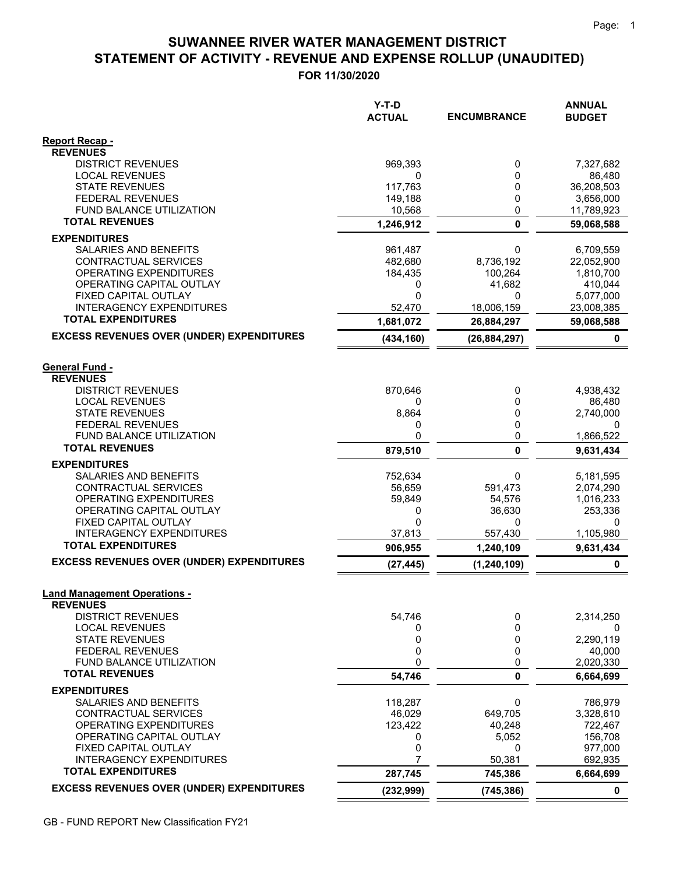# **STATEMENT OF ACTIVITY - REVENUE AND EXPENSE ROLLUP (UNAUDITED) SUWANNEE RIVER WATER MANAGEMENT DISTRICT**

**FOR 11/30/2020**

|                                                         | Y-T-D<br><b>ACTUAL</b> | <b>ENCUMBRANCE</b> | <b>ANNUAL</b><br><b>BUDGET</b> |
|---------------------------------------------------------|------------------------|--------------------|--------------------------------|
| <b>Report Recap -</b>                                   |                        |                    |                                |
| <b>REVENUES</b>                                         |                        |                    |                                |
| <b>DISTRICT REVENUES</b>                                | 969,393                | 0                  | 7,327,682                      |
| <b>LOCAL REVENUES</b><br><b>STATE REVENUES</b>          | 0<br>117,763           | 0<br>0             | 86,480<br>36,208,503           |
| <b>FEDERAL REVENUES</b>                                 | 149,188                | 0                  | 3,656,000                      |
| FUND BALANCE UTILIZATION                                | 10,568                 | 0                  | 11,789,923                     |
| <b>TOTAL REVENUES</b>                                   | 1,246,912              | $\mathbf 0$        | 59,068,588                     |
| <b>EXPENDITURES</b>                                     |                        |                    |                                |
| SALARIES AND BENEFITS                                   | 961,487                | 0                  | 6,709,559                      |
| CONTRACTUAL SERVICES                                    | 482,680                | 8,736,192          | 22,052,900                     |
| OPERATING EXPENDITURES                                  | 184,435                | 100,264            | 1,810,700                      |
| OPERATING CAPITAL OUTLAY                                | 0                      | 41,682             | 410,044                        |
| FIXED CAPITAL OUTLAY<br><b>INTERAGENCY EXPENDITURES</b> | 0<br>52,470            | 0<br>18,006,159    | 5,077,000<br>23,008,385        |
| <b>TOTAL EXPENDITURES</b>                               | 1,681,072              | 26,884,297         | 59,068,588                     |
| <b>EXCESS REVENUES OVER (UNDER) EXPENDITURES</b>        |                        |                    | 0                              |
|                                                         | (434, 160)             | (26, 884, 297)     |                                |
| <b>General Fund -</b>                                   |                        |                    |                                |
| <b>REVENUES</b>                                         |                        |                    |                                |
| <b>DISTRICT REVENUES</b>                                | 870,646                | 0                  | 4,938,432                      |
| <b>LOCAL REVENUES</b>                                   | 0                      | 0                  | 86,480                         |
| <b>STATE REVENUES</b>                                   | 8,864                  | 0                  | 2,740,000                      |
| <b>FEDERAL REVENUES</b><br>FUND BALANCE UTILIZATION     | 0<br>0                 | 0<br>0             | 0<br>1,866,522                 |
| <b>TOTAL REVENUES</b>                                   | 879,510                | 0                  | 9,631,434                      |
| <b>EXPENDITURES</b>                                     |                        |                    |                                |
| SALARIES AND BENEFITS                                   | 752,634                | 0                  | 5,181,595                      |
| CONTRACTUAL SERVICES                                    | 56,659                 | 591,473            | 2,074,290                      |
| OPERATING EXPENDITURES                                  | 59,849                 | 54,576             | 1,016,233                      |
| OPERATING CAPITAL OUTLAY                                | 0                      | 36,630             | 253,336                        |
| FIXED CAPITAL OUTLAY<br><b>INTERAGENCY EXPENDITURES</b> | 0<br>37,813            | 0<br>557,430       | 0<br>1,105,980                 |
| <b>TOTAL EXPENDITURES</b>                               | 906,955                | 1,240,109          | 9,631,434                      |
| <b>EXCESS REVENUES OVER (UNDER) EXPENDITURES</b>        | (27, 445)              | (1, 240, 109)      | 0                              |
|                                                         |                        |                    |                                |
| <b>Land Management Operations -</b>                     |                        |                    |                                |
| <b>REVENUES</b>                                         |                        |                    |                                |
| <b>DISTRICT REVENUES</b><br><b>LOCAL REVENUES</b>       | 54,746                 | 0                  | 2,314,250                      |
| <b>STATE REVENUES</b>                                   | 0<br>0                 | 0<br>0             | 0<br>2,290,119                 |
| <b>FEDERAL REVENUES</b>                                 | 0                      | 0                  | 40,000                         |
| FUND BALANCE UTILIZATION                                | 0                      | 0                  | 2,020,330                      |
| <b>TOTAL REVENUES</b>                                   | 54,746                 | 0                  | 6,664,699                      |
| <b>EXPENDITURES</b>                                     |                        |                    |                                |
| <b>SALARIES AND BENEFITS</b>                            | 118,287                | 0                  | 786,979                        |
| CONTRACTUAL SERVICES                                    | 46,029                 | 649,705            | 3,328,610                      |
| OPERATING EXPENDITURES<br>OPERATING CAPITAL OUTLAY      | 123,422<br>0           | 40,248<br>5,052    | 722,467<br>156,708             |
| FIXED CAPITAL OUTLAY                                    | 0                      | 0                  | 977,000                        |
| <b>INTERAGENCY EXPENDITURES</b>                         | 7                      | 50,381             | 692,935                        |
| <b>TOTAL EXPENDITURES</b>                               | 287,745                | 745,386            | 6,664,699                      |
| <b>EXCESS REVENUES OVER (UNDER) EXPENDITURES</b>        | (232, 999)             | (745, 386)         | 0                              |